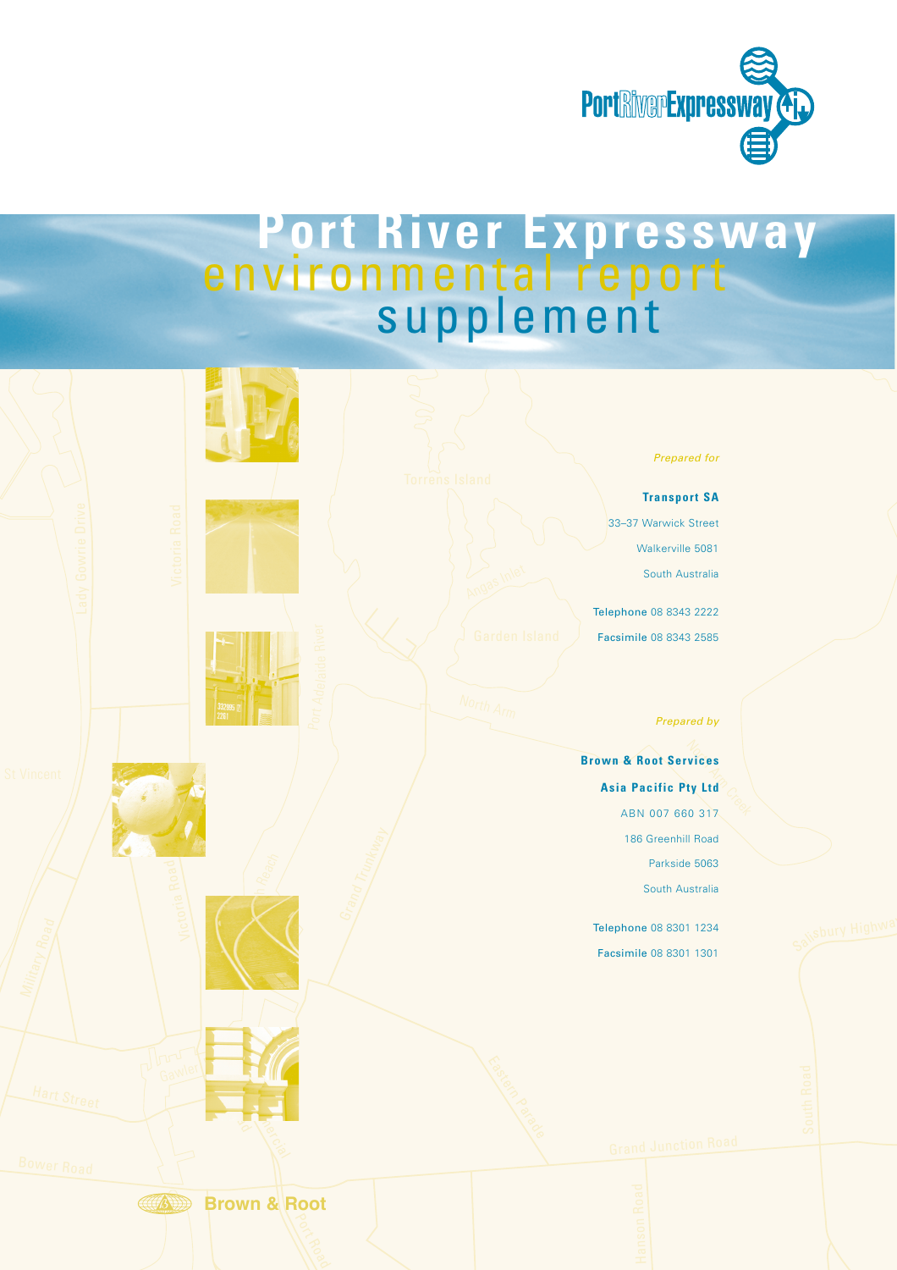

## Torrens Reach **Port River Expressway** environmental report supplement